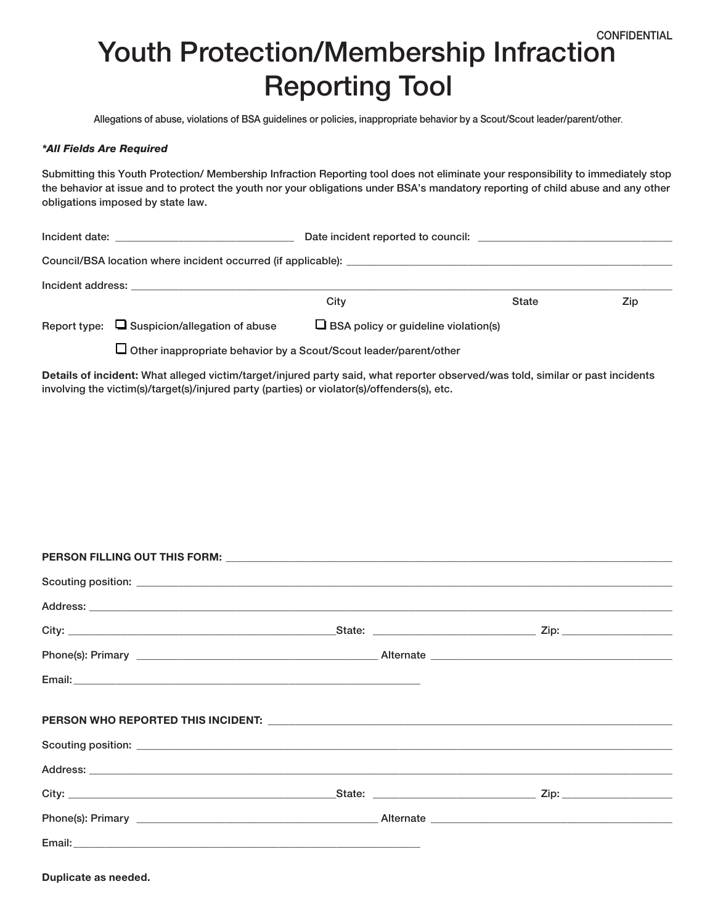## Youth Protection/Membership Infraction Reporting Tool **CONFIDENTIAL**

Allegations of abuse, violations of BSA guidelines or policies, inappropriate behavior by a Scout/Scout leader/parent/other.

## *\*All Fields Are Required*

Submitting this Youth Protection/ Membership Infraction Reporting tool does not eliminate your responsibility to immediately stop the behavior at issue and to protect the youth nor your obligations under BSA's mandatory reporting of child abuse and any other obligations imposed by state law.

|                   |                                                                                                                 | Date incident reported to council:          |              |     |  |  |
|-------------------|-----------------------------------------------------------------------------------------------------------------|---------------------------------------------|--------------|-----|--|--|
|                   |                                                                                                                 |                                             |              |     |  |  |
| Incident address: | the contract of the contract of the contract of the contract of the contract of the contract of the contract of |                                             |              |     |  |  |
|                   |                                                                                                                 | City                                        | <b>State</b> | Zip |  |  |
|                   | Report type: $\Box$ Suspicion/allegation of abuse                                                               | $\Box$ BSA policy or guideline violation(s) |              |     |  |  |
|                   | Other inappropriate behavior by a Scout/Scout leader/parent/other                                               |                                             |              |     |  |  |

Details of incident: What alleged victim/target/injured party said, what reporter observed/was told, similar or past incidents involving the victim(s)/target(s)/injured party (parties) or violator(s)/offenders(s), etc.

| Email: <u>Alexander Adam and Alexander Adam and Alexander Adam and Alexander Adam and Alexander Adam and Alexander Adam and Alexander Adam and Alexander Adam and Alexander Adam and Alexander Adam and Alexander Adam and Alexa</u> |  |
|--------------------------------------------------------------------------------------------------------------------------------------------------------------------------------------------------------------------------------------|--|
|                                                                                                                                                                                                                                      |  |
|                                                                                                                                                                                                                                      |  |
|                                                                                                                                                                                                                                      |  |
|                                                                                                                                                                                                                                      |  |
|                                                                                                                                                                                                                                      |  |
|                                                                                                                                                                                                                                      |  |
|                                                                                                                                                                                                                                      |  |